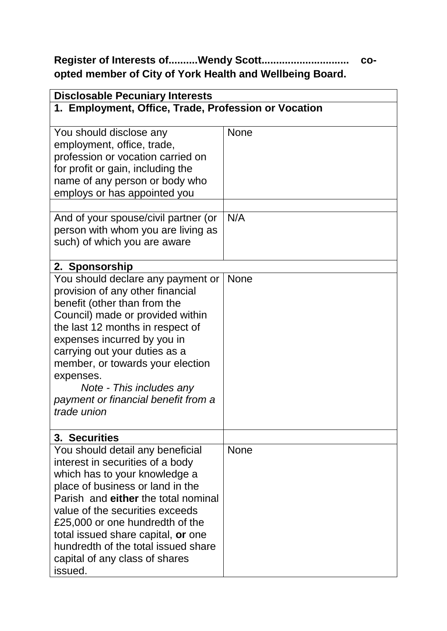## **Register of Interests of..........Wendy Scott.............................. coopted member of City of York Health and Wellbeing Board.**

| <b>Disclosable Pecuniary Interests</b>                                                                                                                                                                                                                                                                                                                                           |             |  |
|----------------------------------------------------------------------------------------------------------------------------------------------------------------------------------------------------------------------------------------------------------------------------------------------------------------------------------------------------------------------------------|-------------|--|
| 1. Employment, Office, Trade, Profession or Vocation                                                                                                                                                                                                                                                                                                                             |             |  |
| You should disclose any<br>employment, office, trade,<br>profession or vocation carried on<br>for profit or gain, including the<br>name of any person or body who<br>employs or has appointed you                                                                                                                                                                                | <b>None</b> |  |
| And of your spouse/civil partner (or<br>person with whom you are living as<br>such) of which you are aware                                                                                                                                                                                                                                                                       | N/A         |  |
| 2. Sponsorship                                                                                                                                                                                                                                                                                                                                                                   |             |  |
| You should declare any payment or<br>provision of any other financial<br>benefit (other than from the<br>Council) made or provided within<br>the last 12 months in respect of<br>expenses incurred by you in<br>carrying out your duties as a<br>member, or towards your election<br>expenses.<br>Note - This includes any<br>payment or financial benefit from a<br>trade union | <b>None</b> |  |
| 3. Securities                                                                                                                                                                                                                                                                                                                                                                    |             |  |
| You should detail any beneficial<br>interest in securities of a body<br>which has to your knowledge a<br>place of business or land in the<br>Parish and either the total nominal<br>value of the securities exceeds<br>£25,000 or one hundredth of the<br>total issued share capital, or one<br>hundredth of the total issued share<br>capital of any class of shares<br>issued. | <b>None</b> |  |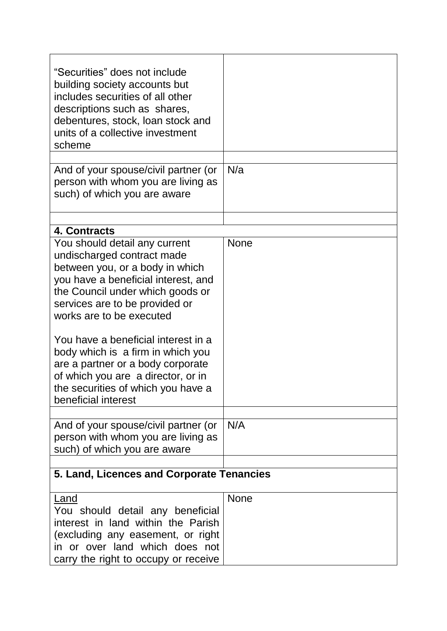| "Securities" does not include<br>building society accounts but<br>includes securities of all other<br>descriptions such as shares,<br>debentures, stock, loan stock and<br>units of a collective investment<br>scheme                                                                                                                                                                                                                                       |             |
|-------------------------------------------------------------------------------------------------------------------------------------------------------------------------------------------------------------------------------------------------------------------------------------------------------------------------------------------------------------------------------------------------------------------------------------------------------------|-------------|
| And of your spouse/civil partner (or<br>person with whom you are living as<br>such) of which you are aware                                                                                                                                                                                                                                                                                                                                                  | N/a         |
| 4. Contracts                                                                                                                                                                                                                                                                                                                                                                                                                                                |             |
| You should detail any current<br>undischarged contract made<br>between you, or a body in which<br>you have a beneficial interest, and<br>the Council under which goods or<br>services are to be provided or<br>works are to be executed<br>You have a beneficial interest in a<br>body which is a firm in which you<br>are a partner or a body corporate<br>of which you are a director, or in<br>the securities of which you have a<br>beneficial interest | <b>None</b> |
| And of your spouse/civil partner (or<br>person with whom you are living as<br>such) of which you are aware                                                                                                                                                                                                                                                                                                                                                  | N/A         |
| 5. Land, Licences and Corporate Tenancies                                                                                                                                                                                                                                                                                                                                                                                                                   |             |
| <b>Land</b><br>You should detail any beneficial<br>interest in land within the Parish<br>(excluding any easement, or right<br>in or over land which does not<br>carry the right to occupy or receive                                                                                                                                                                                                                                                        | <b>None</b> |